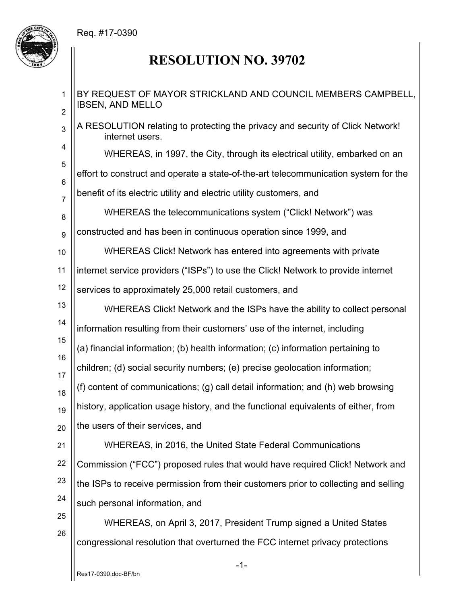## Req. #17-0390



## **RESOLUTION NO. 39702**

1 2 3 4 5 6 7 8 9 10 11 12 13 14 15 16 17 18 19 20 21 22 23 24 25 26 BY REQUEST OF MAYOR STRICKLAND AND COUNCIL MEMBERS CAMPBELL, IBSEN, AND MELLO A RESOLUTION relating to protecting the privacy and security of Click Network! internet users. WHEREAS, in 1997, the City, through its electrical utility, embarked on an effort to construct and operate a state-of-the-art telecommunication system for the benefit of its electric utility and electric utility customers, and WHEREAS the telecommunications system ("Click! Network") was constructed and has been in continuous operation since 1999, and WHEREAS Click! Network has entered into agreements with private internet service providers ("ISPs") to use the Click! Network to provide internet services to approximately 25,000 retail customers, and WHEREAS Click! Network and the ISPs have the ability to collect personal information resulting from their customers' use of the internet, including (a) financial information; (b) health information; (c) information pertaining to children; (d) social security numbers; (e) precise geolocation information; (f) content of communications; (g) call detail information; and (h) web browsing history, application usage history, and the functional equivalents of either, from the users of their services, and WHEREAS, in 2016, the United State Federal Communications Commission ("FCC") proposed rules that would have required Click! Network and the ISPs to receive permission from their customers prior to collecting and selling such personal information, and WHEREAS, on April 3, 2017, President Trump signed a United States congressional resolution that overturned the FCC internet privacy protections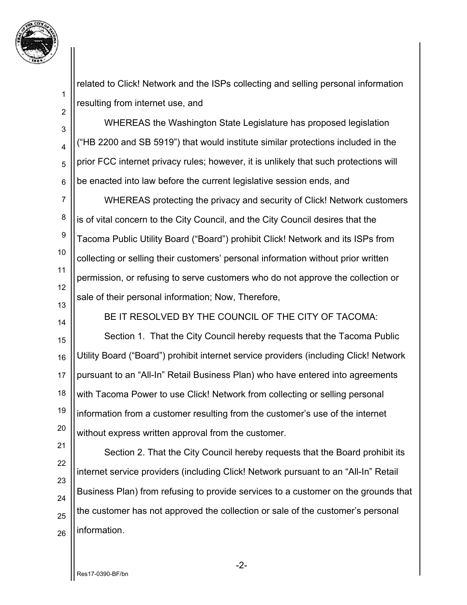

1

2

3

4

5

6

7

8

9

10

11

13

14

related to Click! Network and the ISPs collecting and selling personal information resulting from internet use, and

 WHEREAS the Washington State Legislature has proposed legislation ("HB 2200 and SB 5919") that would institute similar protections included in the prior FCC internet privacy rules; however, it is unlikely that such protections will be enacted into law before the current legislative session ends, and

12 WHEREAS protecting the privacy and security of Click! Network customers is of vital concern to the City Council, and the City Council desires that the Tacoma Public Utility Board ("Board") prohibit Click! Network and its ISPs from collecting or selling their customers' personal information without prior written permission, or refusing to serve customers who do not approve the collection or sale of their personal information; Now, Therefore,

BE IT RESOLVED BY THE COUNCIL OF THE CITY OF TACOMA:

15 16 17 18 19 20 Section 1. That the City Council hereby requests that the Tacoma Public Utility Board ("Board") prohibit internet service providers (including Click! Network pursuant to an "All-In" Retail Business Plan) who have entered into agreements with Tacoma Power to use Click! Network from collecting or selling personal information from a customer resulting from the customer's use of the internet without express written approval from the customer.

21 22 23 24 25 26 Section 2. That the City Council hereby requests that the Board prohibit its internet service providers (including Click! Network pursuant to an "All-In" Retail Business Plan) from refusing to provide services to a customer on the grounds that the customer has not approved the collection or sale of the customer's personal information.